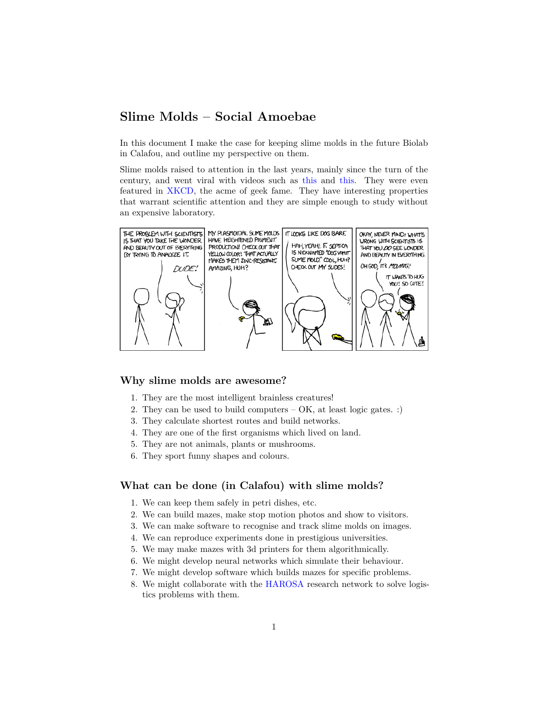# **Slime Molds – Social Amoebae**

In this document I make the case for keeping slime molds in the future Biolab in Calafou, and outline my perspective on them.

Slime molds raised to attention in the last years, mainly since the turn of the century, and went viral with videos such as [this](https://www.youtube.com/watch?v=czk4xgdhdY4) and [this](https://www.youtube.com/watch?v=GwKuFREOgmo). They were even featured in [XKCD,](https://sslimgs.xkcd.com/comics/beauty.png) the acme of geek fame. They have interesting properties that warrant scientific attention and they are simple enough to study without an expensive laboratory.



#### **Why slime molds are awesome?**

- 1. They are the most intelligent brainless creatures!
- 2. They can be used to build computers OK, at least logic gates. :)
- 3. They calculate shortest routes and build networks.
- 4. They are one of the first organisms which lived on land.
- 5. They are not animals, plants or mushrooms.
- 6. They sport funny shapes and colours.

#### **What can be done (in Calafou) with slime molds?**

- 1. We can keep them safely in petri dishes, etc.
- 2. We can build mazes, make stop motion photos and show to visitors.
- 3. We can make software to recognise and track slime molds on images.
- 4. We can reproduce experiments done in prestigious universities.
- 5. We may make mazes with 3d printers for them algorithmically.
- 6. We might develop neural networks which simulate their behaviour.
- 7. We might develop software which builds mazes for specific problems.
- 8. We might collaborate with the [HAROSA](http://dpcs.uoc.edu/joomla/index.php/about-harosa-kc) research network to solve logistics problems with them.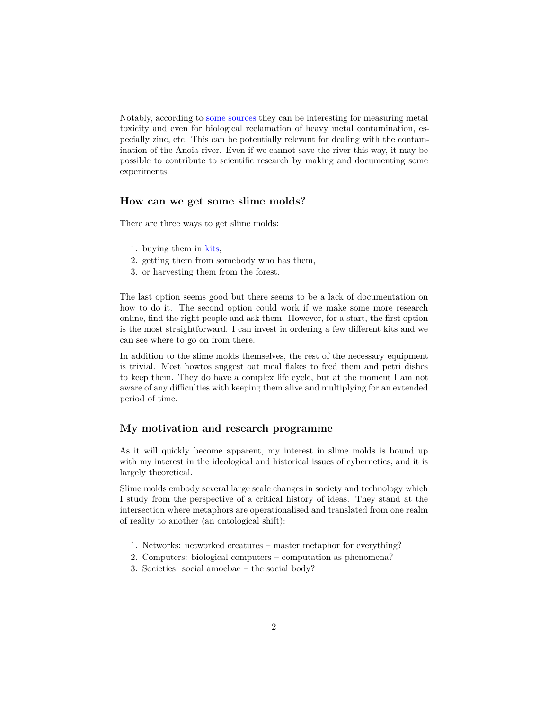Notably, according to [some](https://www.ncbi.nlm.nih.gov/pubmed?term=fuligo%20zinc) [sources](http://books.google.com/books?id=Jt60ACKjcJoC&pg=PA208&lpg=PA208#v=onepage&q&f=false) they can be interesting for measuring metal toxicity and even for biological reclamation of heavy metal contamination, especially zinc, etc. This can be potentially relevant for dealing with the contamination of the Anoia river. Even if we cannot save the river this way, it may be possible to contribute to scientific research by making and documenting some experiments.

## **How can we get some slime molds?**

There are three ways to get slime molds:

- 1. buying them in [kits,](http://www.carolina.com/catalog/search-results.jsp;jsessionid=8066CF4152476E1E5E439C73DB9E8E23.stageworker4?_dyncharset=UTF-8&question=slime+mold&_D%3Aquestion=+&questionSaved=&%2Fatg%2Fuserprofiling%2FProfile.searchTabSelection=Products&_D%3A%2Fatg%2Fuserprofiling%2FProfile.searchTabSelection=+&%2Fatg%2Fcommerce%2Fsearch%2Fcatalog%2FQueryFormHandler.search=Search&_D%3A%2Fatg%2Fcommerce%2Fsearch%2Fcatalog%2FQueryFormHandler.search=+&searchExecByFormSubmit=true&_DARGS=%2Fincludes%2Fgadgets%2Fheader-search.jsp.mainSearchForm)
- 2. getting them from somebody who has them,
- 3. or harvesting them from the forest.

The last option seems good but there seems to be a lack of documentation on how to do it. The second option could work if we make some more research online, find the right people and ask them. However, for a start, the first option is the most straightforward. I can invest in ordering a few different kits and we can see where to go on from there.

In addition to the slime molds themselves, the rest of the necessary equipment is trivial. Most howtos suggest oat meal flakes to feed them and petri dishes to keep them. They do have a complex life cycle, but at the moment I am not aware of any difficulties with keeping them alive and multiplying for an extended period of time.

### **My motivation and research programme**

As it will quickly become apparent, my interest in slime molds is bound up with my interest in the ideological and historical issues of cybernetics, and it is largely theoretical.

Slime molds embody several large scale changes in society and technology which I study from the perspective of a critical history of ideas. They stand at the intersection where metaphors are operationalised and translated from one realm of reality to another (an ontological shift):

- 1. Networks: networked creatures master metaphor for everything?
- 2. Computers: biological computers computation as phenomena?
- 3. Societies: social amoebae the social body?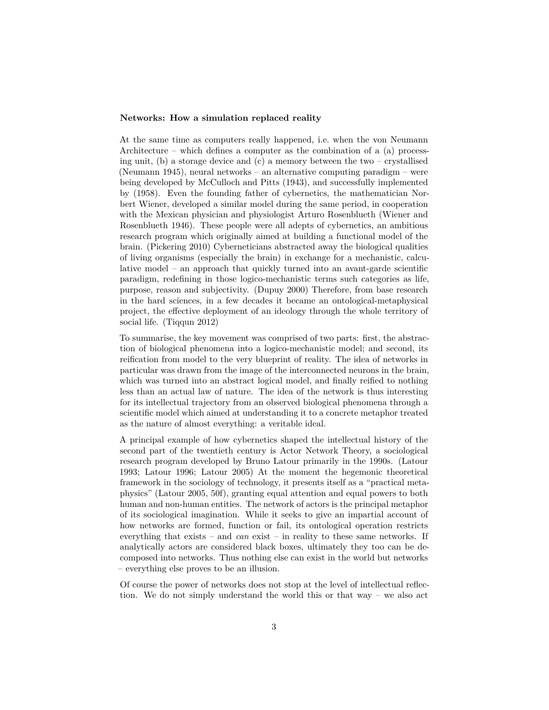#### **Networks: How a simulation replaced reality**

At the same time as computers really happened, i.e. when the von Neumann Architecture – which defines a computer as the combination of a (a) processing unit, (b) a storage device and (c) a memory between the two – crystallised (Neumann 1945), neural networks – an alternative computing paradigm – were being developed by McCulloch and Pitts (1943), and successfully implemented by (1958). Even the founding father of cybernetics, the mathematician Norbert Wiener, developed a similar model during the same period, in cooperation with the Mexican physician and physiologist Arturo Rosenblueth (Wiener and Rosenblueth 1946). These people were all adepts of cybernetics, an ambitious research program which originally aimed at building a functional model of the brain. (Pickering 2010) Cyberneticians abstracted away the biological qualities of living organisms (especially the brain) in exchange for a mechanistic, calculative model – an approach that quickly turned into an avant-garde scientific paradigm, redefining in those logico-mechanistic terms such categories as life, purpose, reason and subjectivity. (Dupuy 2000) Therefore, from base research in the hard sciences, in a few decades it became an ontological-metaphysical project, the effective deployment of an ideology through the whole territory of social life. (Tiqqun 2012)

To summarise, the key movement was comprised of two parts: first, the abstraction of biological phenomena into a logico-mechanistic model; and second, its reification from model to the very blueprint of reality. The idea of networks in particular was drawn from the image of the interconnected neurons in the brain, which was turned into an abstract logical model, and finally reified to nothing less than an actual law of nature. The idea of the network is thus interesting for its intellectual trajectory from an observed biological phenomena through a scientific model which aimed at understanding it to a concrete metaphor treated as the nature of almost everything: a veritable ideal.

A principal example of how cybernetics shaped the intellectual history of the second part of the twentieth century is Actor Network Theory, a sociological research program developed by Bruno Latour primarily in the 1990s. (Latour 1993; Latour 1996; Latour 2005) At the moment the hegemonic theoretical framework in the sociology of technology, it presents itself as a "practical metaphysics" (Latour 2005, 50f), granting equal attention and equal powers to both human and non-human entities. The network of actors is the principal metaphor of its sociological imagination. While it seeks to give an impartial account of how networks are formed, function or fail, its ontological operation restricts everything that exists – and *can* exist – in reality to these same networks. If analytically actors are considered black boxes, ultimately they too can be decomposed into networks. Thus nothing else can exist in the world but networks – everything else proves to be an illusion.

Of course the power of networks does not stop at the level of intellectual reflection. We do not simply understand the world this or that way – we also act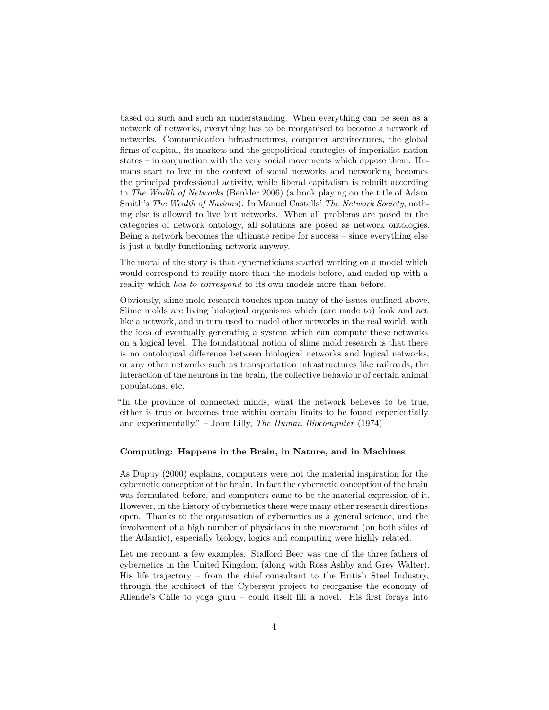based on such and such an understanding. When everything can be seen as a network of networks, everything has to be reorganised to become a network of networks. Communication infrastructures, computer architectures, the global firms of capital, its markets and the geopolitical strategies of imperialist nation states – in conjunction with the very social movements which oppose them. Humans start to live in the context of social networks and networking becomes the principal professional activity, while liberal capitalism is rebuilt according to *The Wealth of Networks* (Benkler 2006) (a book playing on the title of Adam Smith's *The Wealth of Nations*). In Manuel Castells' *The Network Society*, nothing else is allowed to live but networks. When all problems are posed in the categories of network ontology, all solutions are posed as network ontologies. Being a network becomes the ultimate recipe for success – since everything else is just a badly functioning network anyway.

The moral of the story is that cyberneticians started working on a model which would correspond to reality more than the models before, and ended up with a reality which *has to correspond* to its own models more than before.

Obviously, slime mold research touches upon many of the issues outlined above. Slime molds are living biological organisms which (are made to) look and act like a network, and in turn used to model other networks in the real world, with the idea of eventually generating a system which can compute these networks on a logical level. The foundational notion of slime mold research is that there is no ontological difference between biological networks and logical networks, or any other networks such as transportation infrastructures like railroads, the interaction of the neurons in the brain, the collective behaviour of certain animal populations, etc.

"In the province of connected minds, what the network believes to be true, either is true or becomes true within certain limits to be found experientially and experimentally." – John Lilly, *The Human Biocomputer* (1974)

#### **Computing: Happens in the Brain, in Nature, and in Machines**

As Dupuy (2000) explains, computers were not the material inspiration for the cybernetic conception of the brain. In fact the cybernetic conception of the brain was formulated before, and computers came to be the material expression of it. However, in the history of cybernetics there were many other research directions open. Thanks to the organisation of cybernetics as a general science, and the involvement of a high number of physicians in the movement (on both sides of the Atlantic), especially biology, logics and computing were highly related.

Let me recount a few examples. Stafford Beer was one of the three fathers of cybernetics in the United Kingdom (along with Ross Ashby and Grey Walter). His life trajectory – from the chief consultant to the British Steel Industry, through the architect of the Cybersyn project to reorganise the economy of Allende's Chile to yoga guru – could itself fill a novel. His first forays into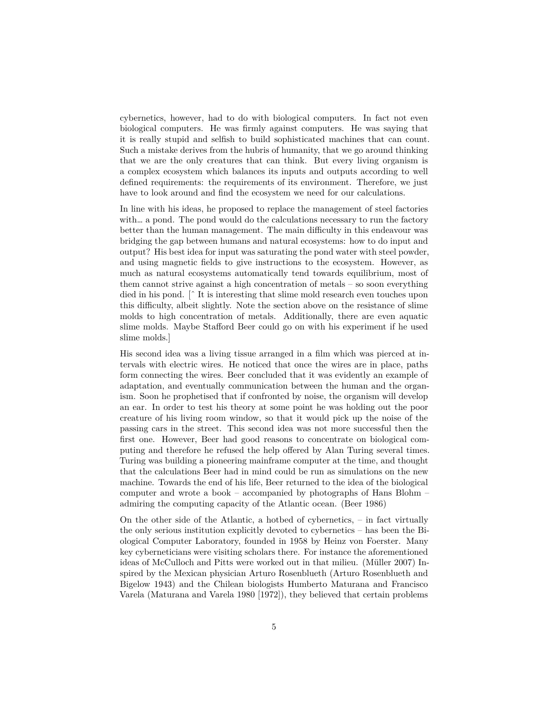cybernetics, however, had to do with biological computers. In fact not even biological computers. He was firmly against computers. He was saying that it is really stupid and selfish to build sophisticated machines that can count. Such a mistake derives from the hubris of humanity, that we go around thinking that we are the only creatures that can think. But every living organism is a complex ecosystem which balances its inputs and outputs according to well defined requirements: the requirements of its environment. Therefore, we just have to look around and find the ecosystem we need for our calculations.

In line with his ideas, he proposed to replace the management of steel factories with… a pond. The pond would do the calculations necessary to run the factory better than the human management. The main difficulty in this endeavour was bridging the gap between humans and natural ecosystems: how to do input and output? His best idea for input was saturating the pond water with steel powder, and using magnetic fields to give instructions to the ecosystem. However, as much as natural ecosystems automatically tend towards equilibrium, most of them cannot strive against a high concentration of metals – so soon everything died in his pond. [ˆ It is interesting that slime mold research even touches upon this difficulty, albeit slightly. Note the section above on the resistance of slime molds to high concentration of metals. Additionally, there are even aquatic slime molds. Maybe Stafford Beer could go on with his experiment if he used slime molds.]

His second idea was a living tissue arranged in a film which was pierced at intervals with electric wires. He noticed that once the wires are in place, paths form connecting the wires. Beer concluded that it was evidently an example of adaptation, and eventually communication between the human and the organism. Soon he prophetised that if confronted by noise, the organism will develop an ear. In order to test his theory at some point he was holding out the poor creature of his living room window, so that it would pick up the noise of the passing cars in the street. This second idea was not more successful then the first one. However, Beer had good reasons to concentrate on biological computing and therefore he refused the help offered by Alan Turing several times. Turing was building a pioneering mainframe computer at the time, and thought that the calculations Beer had in mind could be run as simulations on the new machine. Towards the end of his life, Beer returned to the idea of the biological computer and wrote a book – accompanied by photographs of Hans Blohm – admiring the computing capacity of the Atlantic ocean. (Beer 1986)

On the other side of the Atlantic, a hotbed of cybernetics, – in fact virtually the only serious institution explicitly devoted to cybernetics – has been the Biological Computer Laboratory, founded in 1958 by Heinz von Foerster. Many key cyberneticians were visiting scholars there. For instance the aforementioned ideas of McCulloch and Pitts were worked out in that milieu. (Müller 2007) Inspired by the Mexican physician Arturo Rosenblueth (Arturo Rosenblueth and Bigelow 1943) and the Chilean biologists Humberto Maturana and Francisco Varela (Maturana and Varela 1980 [1972]), they believed that certain problems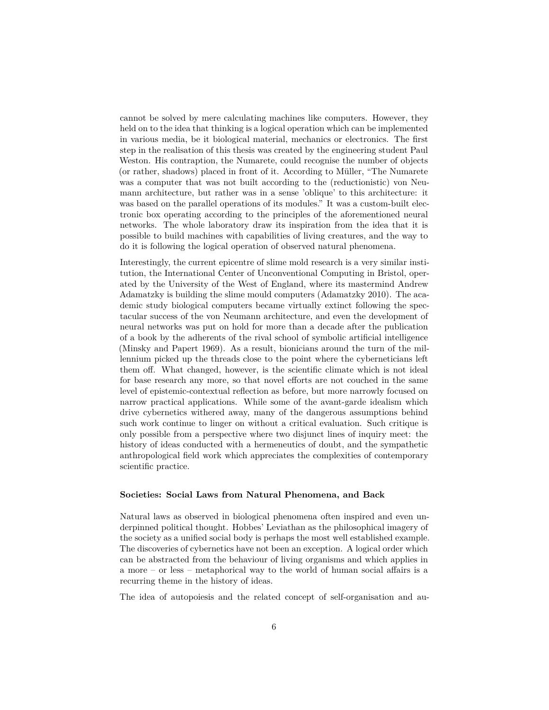cannot be solved by mere calculating machines like computers. However, they held on to the idea that thinking is a logical operation which can be implemented in various media, be it biological material, mechanics or electronics. The first step in the realisation of this thesis was created by the engineering student Paul Weston. His contraption, the Numarete, could recognise the number of objects (or rather, shadows) placed in front of it. According to Müller, "The Numarete was a computer that was not built according to the (reductionistic) von Neumann architecture, but rather was in a sense 'oblique' to this architecture: it was based on the parallel operations of its modules." It was a custom-built electronic box operating according to the principles of the aforementioned neural networks. The whole laboratory draw its inspiration from the idea that it is possible to build machines with capabilities of living creatures, and the way to do it is following the logical operation of observed natural phenomena.

Interestingly, the current epicentre of slime mold research is a very similar institution, the International Center of Unconventional Computing in Bristol, operated by the University of the West of England, where its mastermind Andrew Adamatzky is building the slime mould computers (Adamatzky 2010). The academic study biological computers became virtually extinct following the spectacular success of the von Neumann architecture, and even the development of neural networks was put on hold for more than a decade after the publication of a book by the adherents of the rival school of symbolic artificial intelligence (Minsky and Papert 1969). As a result, bionicians around the turn of the millennium picked up the threads close to the point where the cyberneticians left them off. What changed, however, is the scientific climate which is not ideal for base research any more, so that novel efforts are not couched in the same level of epistemic-contextual reflection as before, but more narrowly focused on narrow practical applications. While some of the avant-garde idealism which drive cybernetics withered away, many of the dangerous assumptions behind such work continue to linger on without a critical evaluation. Such critique is only possible from a perspective where two disjunct lines of inquiry meet: the history of ideas conducted with a hermeneutics of doubt, and the sympathetic anthropological field work which appreciates the complexities of contemporary scientific practice.

#### **Societies: Social Laws from Natural Phenomena, and Back**

Natural laws as observed in biological phenomena often inspired and even underpinned political thought. Hobbes' Leviathan as the philosophical imagery of the society as a unified social body is perhaps the most well established example. The discoveries of cybernetics have not been an exception. A logical order which can be abstracted from the behaviour of living organisms and which applies in a more – or less – metaphorical way to the world of human social affairs is a recurring theme in the history of ideas.

The idea of autopoiesis and the related concept of self-organisation and au-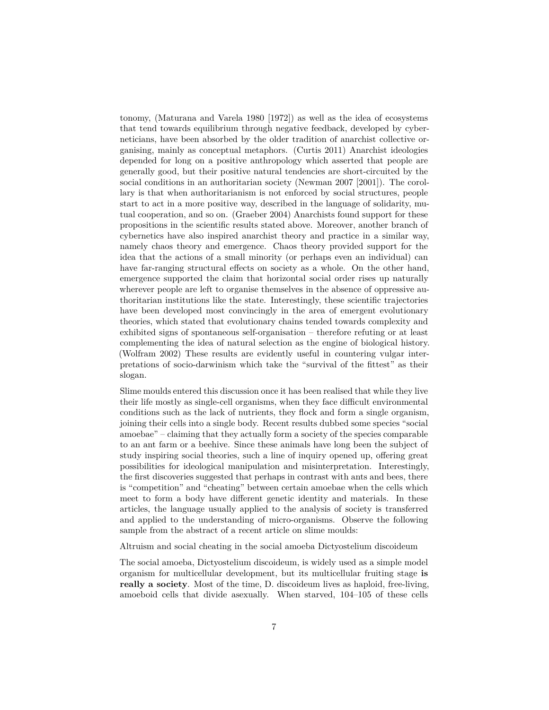tonomy, (Maturana and Varela 1980 [1972]) as well as the idea of ecosystems that tend towards equilibrium through negative feedback, developed by cyberneticians, have been absorbed by the older tradition of anarchist collective organising, mainly as conceptual metaphors. (Curtis 2011) Anarchist ideologies depended for long on a positive anthropology which asserted that people are generally good, but their positive natural tendencies are short-circuited by the social conditions in an authoritarian society (Newman 2007 [2001]). The corollary is that when authoritarianism is not enforced by social structures, people start to act in a more positive way, described in the language of solidarity, mutual cooperation, and so on. (Graeber 2004) Anarchists found support for these propositions in the scientific results stated above. Moreover, another branch of cybernetics have also inspired anarchist theory and practice in a similar way, namely chaos theory and emergence. Chaos theory provided support for the idea that the actions of a small minority (or perhaps even an individual) can have far-ranging structural effects on society as a whole. On the other hand, emergence supported the claim that horizontal social order rises up naturally wherever people are left to organise themselves in the absence of oppressive authoritarian institutions like the state. Interestingly, these scientific trajectories have been developed most convincingly in the area of emergent evolutionary theories, which stated that evolutionary chains tended towards complexity and exhibited signs of spontaneous self-organisation – therefore refuting or at least complementing the idea of natural selection as the engine of biological history. (Wolfram 2002) These results are evidently useful in countering vulgar interpretations of socio-darwinism which take the "survival of the fittest" as their slogan.

Slime moulds entered this discussion once it has been realised that while they live their life mostly as single-cell organisms, when they face difficult environmental conditions such as the lack of nutrients, they flock and form a single organism, joining their cells into a single body. Recent results dubbed some species "social amoebae" – claiming that they actually form a society of the species comparable to an ant farm or a beehive. Since these animals have long been the subject of study inspiring social theories, such a line of inquiry opened up, offering great possibilities for ideological manipulation and misinterpretation. Interestingly, the first discoveries suggested that perhaps in contrast with ants and bees, there is "competition" and "cheating" between certain amoebae when the cells which meet to form a body have different genetic identity and materials. In these articles, the language usually applied to the analysis of society is transferred and applied to the understanding of micro-organisms. Observe the following sample from the abstract of a recent article on slime moulds:

Altruism and social cheating in the social amoeba Dictyostelium discoideum

The social amoeba, Dictyostelium discoideum, is widely used as a simple model organism for multicellular development, but its multicellular fruiting stage **is really a society**. Most of the time, D. discoideum lives as haploid, free-living, amoeboid cells that divide asexually. When starved, 104–105 of these cells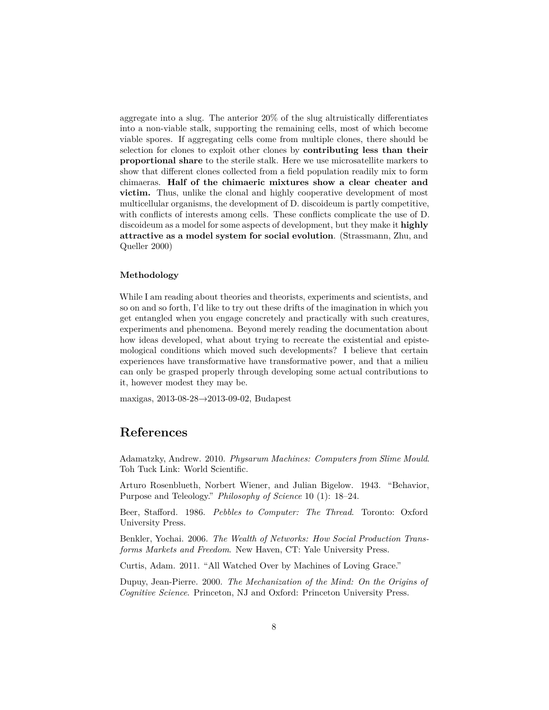aggregate into a slug. The anterior 20% of the slug altruistically differentiates into a non-viable stalk, supporting the remaining cells, most of which become viable spores. If aggregating cells come from multiple clones, there should be selection for clones to exploit other clones by **contributing less than their proportional share** to the sterile stalk. Here we use microsatellite markers to show that different clones collected from a field population readily mix to form chimaeras. **Half of the chimaeric mixtures show a clear cheater and victim.** Thus, unlike the clonal and highly cooperative development of most multicellular organisms, the development of D. discoideum is partly competitive, with conflicts of interests among cells. These conflicts complicate the use of D. discoideum as a model for some aspects of development, but they make it **highly attractive as a model system for social evolution**. (Strassmann, Zhu, and Queller 2000)

#### **Methodology**

While I am reading about theories and theorists, experiments and scientists, and so on and so forth, I'd like to try out these drifts of the imagination in which you get entangled when you engage concretely and practically with such creatures, experiments and phenomena. Beyond merely reading the documentation about how ideas developed, what about trying to recreate the existential and epistemological conditions which moved such developments? I believe that certain experiences have transformative have transformative power, and that a milieu can only be grasped properly through developing some actual contributions to it, however modest they may be.

maxigas, 2013-08-28→2013-09-02, Budapest

## **References**

Adamatzky, Andrew. 2010. *Physarum Machines: Computers from Slime Mould*. Toh Tuck Link: World Scientific.

Arturo Rosenblueth, Norbert Wiener, and Julian Bigelow. 1943. "Behavior, Purpose and Teleology." *Philosophy of Science* 10 (1): 18–24.

Beer, Stafford. 1986. *Pebbles to Computer: The Thread*. Toronto: Oxford University Press.

Benkler, Yochai. 2006. *The Wealth of Networks: How Social Production Transforms Markets and Freedom*. New Haven, CT: Yale University Press.

Curtis, Adam. 2011. "All Watched Over by Machines of Loving Grace."

Dupuy, Jean-Pierre. 2000. *The Mechanization of the Mind: On the Origins of Cognitive Science*. Princeton, NJ and Oxford: Princeton University Press.